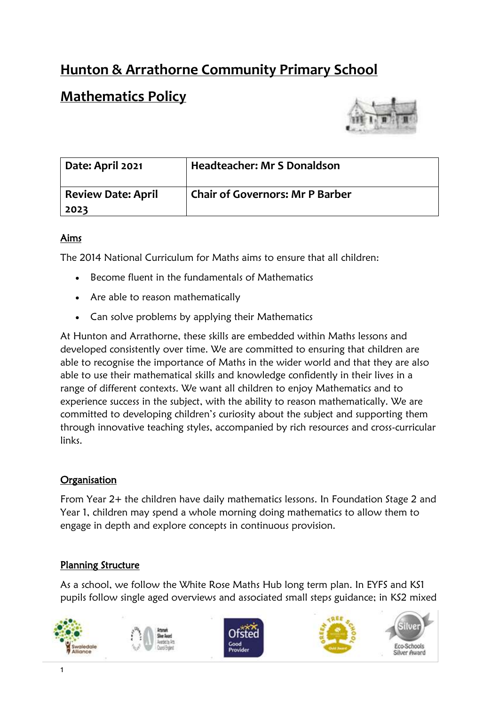# **Hunton & Arrathorne Community Primary School**

# **Mathematics Policy**



| Date: April 2021                  | <b>Headteacher: Mr S Donaldson</b>     |
|-----------------------------------|----------------------------------------|
| <b>Review Date: April</b><br>2023 | <b>Chair of Governors: Mr P Barber</b> |

### Aims

The 2014 National Curriculum for Maths aims to ensure that all children:

- Become fluent in the fundamentals of Mathematics
- Are able to reason mathematically
- Can solve problems by applying their Mathematics

At Hunton and Arrathorne, these skills are embedded within Maths lessons and developed consistently over time. We are committed to ensuring that children are able to recognise the importance of Maths in the wider world and that they are also able to use their mathematical skills and knowledge confidently in their lives in a range of different contexts. We want all children to enjoy Mathematics and to experience success in the subject, with the ability to reason mathematically. We are committed to developing children's curiosity about the subject and supporting them through innovative teaching styles, accompanied by rich resources and cross-curricular links.

### **Organisation**

From Year 2+ the children have daily mathematics lessons. In Foundation Stage 2 and Year 1, children may spend a whole morning doing mathematics to allow them to engage in depth and explore concepts in continuous provision.

### Planning Structure

As a school, we follow the White Rose Maths Hub long term plan. In EYFS and KS1 pupils follow single aged overviews and associated small steps guidance; in KS2 mixed

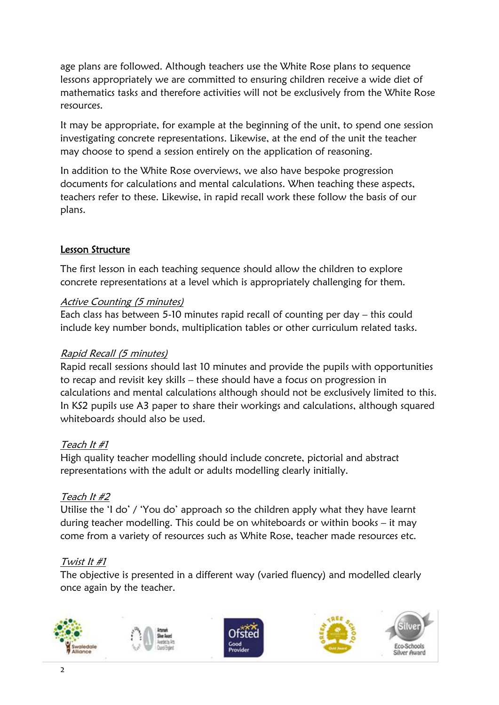age plans are followed. Although teachers use the White Rose plans to sequence lessons appropriately we are committed to ensuring children receive a wide diet of mathematics tasks and therefore activities will not be exclusively from the White Rose resources.

It may be appropriate, for example at the beginning of the unit, to spend one session investigating concrete representations. Likewise, at the end of the unit the teacher may choose to spend a session entirely on the application of reasoning.

In addition to the White Rose overviews, we also have bespoke progression documents for calculations and mental calculations. When teaching these aspects, teachers refer to these. Likewise, in rapid recall work these follow the basis of our plans.

### Lesson Structure

The first lesson in each teaching sequence should allow the children to explore concrete representations at a level which is appropriately challenging for them.

#### Active Counting (5 minutes)

Each class has between 5-10 minutes rapid recall of counting per day – this could include key number bonds, multiplication tables or other curriculum related tasks.

#### Rapid Recall (5 minutes)

Rapid recall sessions should last 10 minutes and provide the pupils with opportunities to recap and revisit key skills – these should have a focus on progression in calculations and mental calculations although should not be exclusively limited to this. In KS2 pupils use A3 paper to share their workings and calculations, although squared whiteboards should also be used.

### Teach It #1

High quality teacher modelling should include concrete, pictorial and abstract representations with the adult or adults modelling clearly initially.

#### Teach It #2

Utilise the 'I do' / 'You do' approach so the children apply what they have learnt during teacher modelling. This could be on whiteboards or within books – it may come from a variety of resources such as White Rose, teacher made resources etc.

### Twist It #1

The objective is presented in a different way (varied fluency) and modelled clearly once again by the teacher.

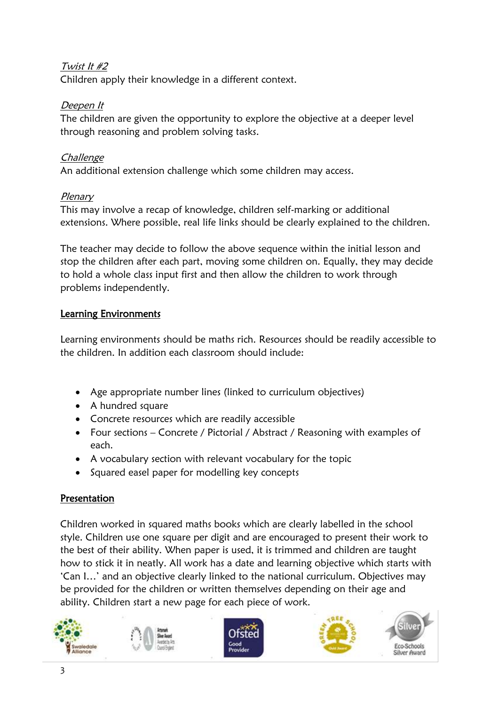## Twist It #2

Children apply their knowledge in a different context.

## Deepen It

The children are given the opportunity to explore the objective at a deeper level through reasoning and problem solving tasks.

## **Challenge**

An additional extension challenge which some children may access.

### Plenary

This may involve a recap of knowledge, children self-marking or additional extensions. Where possible, real life links should be clearly explained to the children.

The teacher may decide to follow the above sequence within the initial lesson and stop the children after each part, moving some children on. Equally, they may decide to hold a whole class input first and then allow the children to work through problems independently.

# Learning Environments

Learning environments should be maths rich. Resources should be readily accessible to the children. In addition each classroom should include:

- Age appropriate number lines (linked to curriculum objectives)
- A hundred square
- Concrete resources which are readily accessible
- Four sections Concrete / Pictorial / Abstract / Reasoning with examples of each.
- A vocabulary section with relevant vocabulary for the topic
- Squared easel paper for modelling key concepts

# Presentation

Children worked in squared maths books which are clearly labelled in the school style. Children use one square per digit and are encouraged to present their work to the best of their ability. When paper is used, it is trimmed and children are taught how to stick it in neatly. All work has a date and learning objective which starts with 'Can I…' and an objective clearly linked to the national curriculum. Objectives may be provided for the children or written themselves depending on their age and ability. Children start a new page for each piece of work.









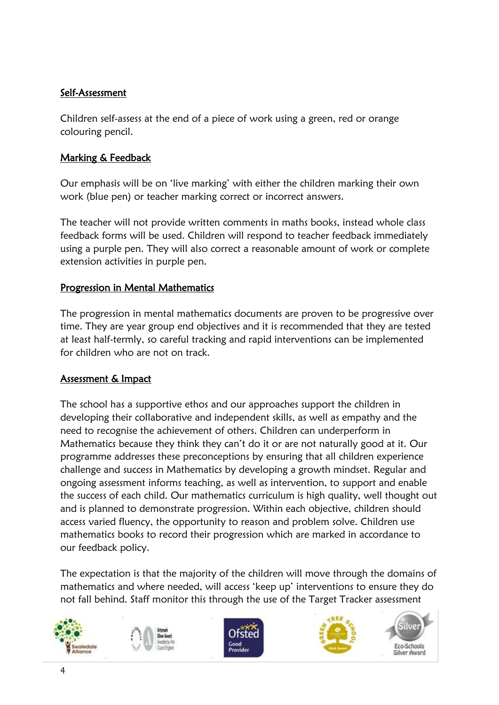#### Self-Assessment

Children self-assess at the end of a piece of work using a green, red or orange colouring pencil.

#### Marking & Feedback

Our emphasis will be on 'live marking' with either the children marking their own work (blue pen) or teacher marking correct or incorrect answers.

The teacher will not provide written comments in maths books, instead whole class feedback forms will be used. Children will respond to teacher feedback immediately using a purple pen. They will also correct a reasonable amount of work or complete extension activities in purple pen.

#### Progression in Mental Mathematics

The progression in mental mathematics documents are proven to be progressive over time. They are year group end objectives and it is recommended that they are tested at least half-termly, so careful tracking and rapid interventions can be implemented for children who are not on track.

### Assessment & Impact

The school has a supportive ethos and our approaches support the children in developing their collaborative and independent skills, as well as empathy and the need to recognise the achievement of others. Children can underperform in Mathematics because they think they can't do it or are not naturally good at it. Our programme addresses these preconceptions by ensuring that all children experience challenge and success in Mathematics by developing a growth mindset. Regular and ongoing assessment informs teaching, as well as intervention, to support and enable the success of each child. Our mathematics curriculum is high quality, well thought out and is planned to demonstrate progression. Within each objective, children should access varied fluency, the opportunity to reason and problem solve. Children use mathematics books to record their progression which are marked in accordance to our feedback policy.

The expectation is that the majority of the children will move through the domains of mathematics and where needed, will access 'keep up' interventions to ensure they do not fall behind. Staff monitor this through the use of the Target Tracker assessment